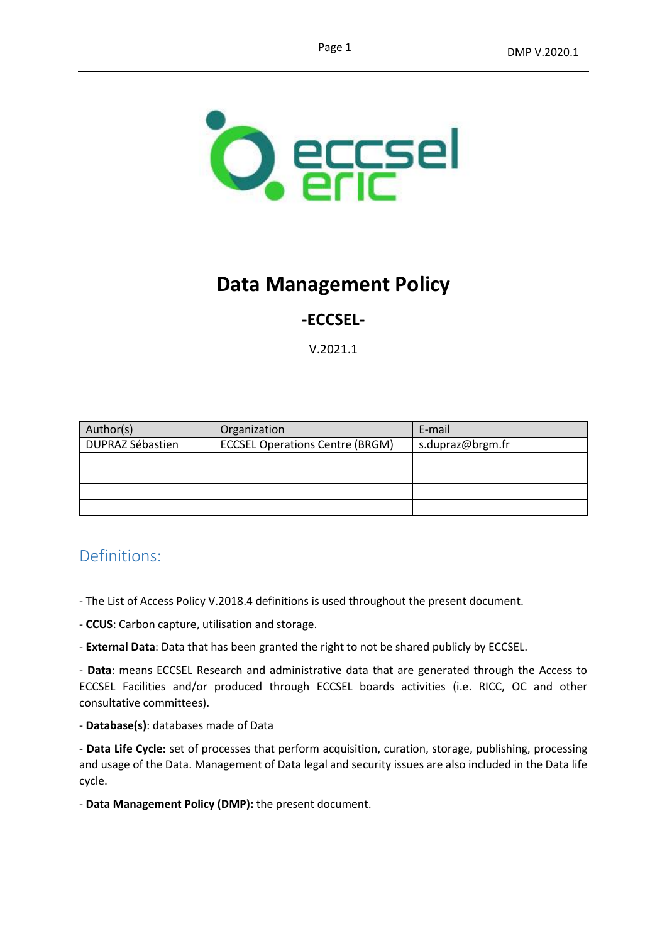

# **Data Management Policy**

# **-ECCSEL-**

V.2021.1

| Author(s)               | Organization                           | E-mail           |
|-------------------------|----------------------------------------|------------------|
| <b>DUPRAZ Sébastien</b> | <b>ECCSEL Operations Centre (BRGM)</b> | s.dupraz@brgm.fr |
|                         |                                        |                  |
|                         |                                        |                  |
|                         |                                        |                  |
|                         |                                        |                  |

# Definitions:

- The List of Access Policy V.2018.4 definitions is used throughout the present document.
- **CCUS**: Carbon capture, utilisation and storage.
- **External Data**: Data that has been granted the right to not be shared publicly by ECCSEL.

- **Data**: means ECCSEL Research and administrative data that are generated through the Access to ECCSEL Facilities and/or produced through ECCSEL boards activities (i.e. RICC, OC and other consultative committees).

- **Database(s)**: databases made of Data

- **Data Life Cycle:** set of processes that perform acquisition, curation, storage, publishing, processing and usage of the Data. Management of Data legal and security issues are also included in the Data life cycle.

- **Data Management Policy (DMP):** the present document.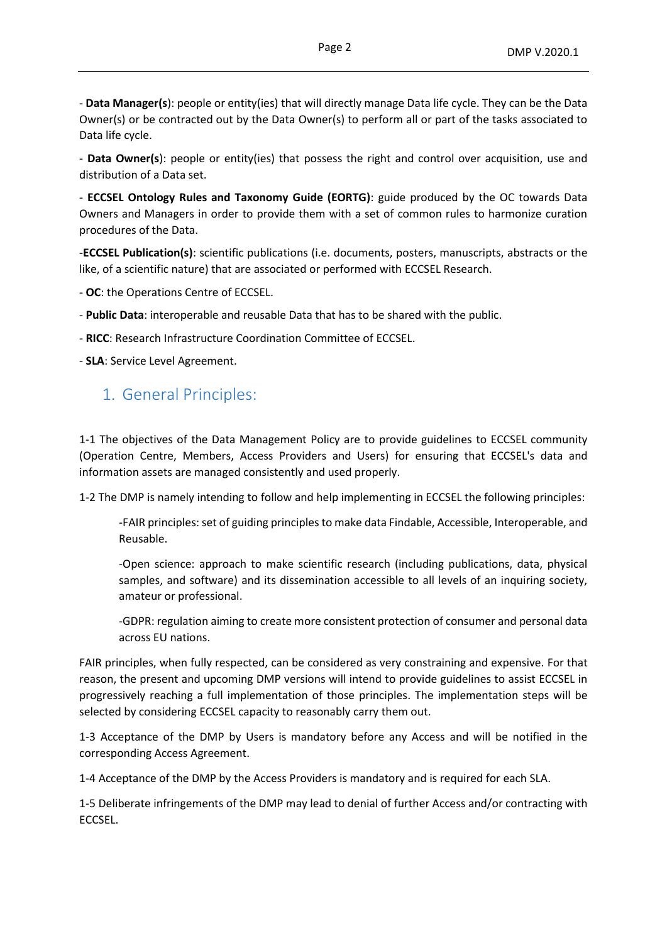- **Data Manager(s**): people or entity(ies) that will directly manage Data life cycle. They can be the Data Owner(s) or be contracted out by the Data Owner(s) to perform all or part of the tasks associated to Data life cycle.

- **Data Owner(s**): people or entity(ies) that possess the right and control over acquisition, use and distribution of a Data set.

- **ECCSEL Ontology Rules and Taxonomy Guide (EORTG)**: guide produced by the OC towards Data Owners and Managers in order to provide them with a set of common rules to harmonize curation procedures of the Data.

-**ECCSEL Publication(s)**: scientific publications (i.e. documents, posters, manuscripts, abstracts or the like, of a scientific nature) that are associated or performed with ECCSEL Research.

- **OC**: the Operations Centre of ECCSEL.

- **Public Data**: interoperable and reusable Data that has to be shared with the public.
- **RICC**: Research Infrastructure Coordination Committee of ECCSEL.

- **SLA**: Service Level Agreement.

### 1. General Principles:

1-1 The objectives of the Data Management Policy are to provide guidelines to ECCSEL community (Operation Centre, Members, Access Providers and Users) for ensuring that ECCSEL's data and information assets are managed consistently and used properly.

1-2 The DMP is namely intending to follow and help implementing in ECCSEL the following principles:

-FAIR principles:set of guiding principles to make data Findable, Accessible, Interoperable, and Reusable.

-Open science: approach to make scientific research (including publications, data, physical samples, and software) and its dissemination accessible to all levels of an inquiring society, amateur or professional.

-GDPR: regulation aiming to create more consistent protection of consumer and personal data across EU nations.

FAIR principles, when fully respected, can be considered as very constraining and expensive. For that reason, the present and upcoming DMP versions will intend to provide guidelines to assist ECCSEL in progressively reaching a full implementation of those principles. The implementation steps will be selected by considering ECCSEL capacity to reasonably carry them out.

1-3 Acceptance of the DMP by Users is mandatory before any Access and will be notified in the corresponding Access Agreement.

1-4 Acceptance of the DMP by the Access Providers is mandatory and is required for each SLA.

1-5 Deliberate infringements of the DMP may lead to denial of further Access and/or contracting with ECCSEL.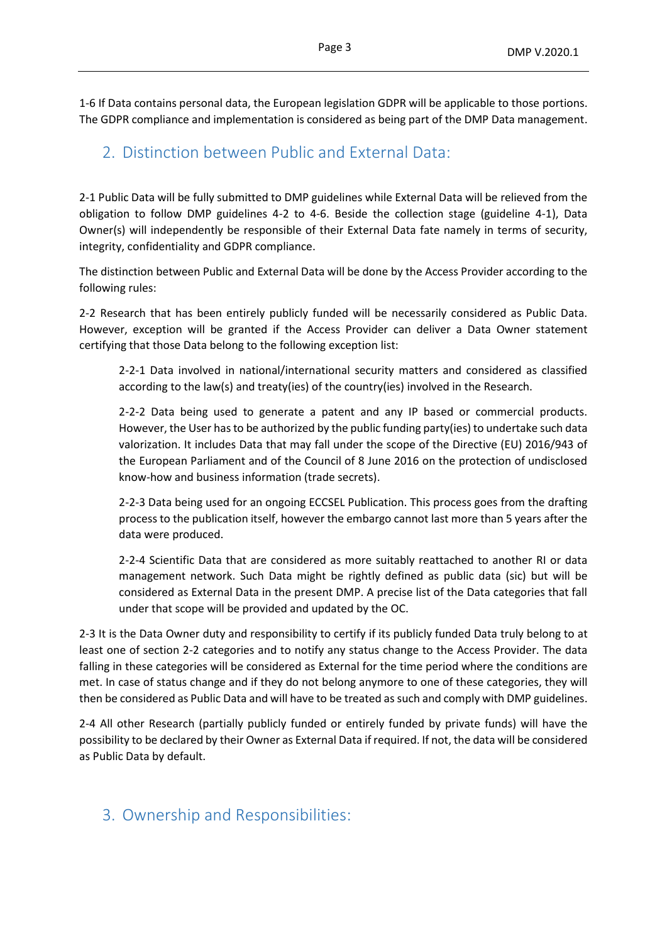1-6 If Data contains personal data, the European legislation GDPR will be applicable to those portions. The GDPR compliance and implementation is considered as being part of the DMP Data management.

# 2. Distinction between Public and External Data:

2-1 Public Data will be fully submitted to DMP guidelines while External Data will be relieved from the obligation to follow DMP guidelines 4-2 to 4-6. Beside the collection stage (guideline 4-1), Data Owner(s) will independently be responsible of their External Data fate namely in terms of security, integrity, confidentiality and GDPR compliance.

The distinction between Public and External Data will be done by the Access Provider according to the following rules:

2-2 Research that has been entirely publicly funded will be necessarily considered as Public Data. However, exception will be granted if the Access Provider can deliver a Data Owner statement certifying that those Data belong to the following exception list:

2-2-1 Data involved in national/international security matters and considered as classified according to the law(s) and treaty(ies) of the country(ies) involved in the Research.

2-2-2 Data being used to generate a patent and any IP based or commercial products. However, the User has to be authorized by the public funding party(ies) to undertake such data valorization. It includes Data that may fall under the scope of the Directive (EU) 2016/943 of the European Parliament and of the Council of 8 June 2016 on the protection of undisclosed know-how and business information (trade secrets).

2-2-3 Data being used for an ongoing ECCSEL Publication. This process goes from the drafting process to the publication itself, however the embargo cannot last more than 5 years after the data were produced.

2-2-4 Scientific Data that are considered as more suitably reattached to another RI or data management network. Such Data might be rightly defined as public data (sic) but will be considered as External Data in the present DMP. A precise list of the Data categories that fall under that scope will be provided and updated by the OC.

2-3 It is the Data Owner duty and responsibility to certify if its publicly funded Data truly belong to at least one of section 2-2 categories and to notify any status change to the Access Provider. The data falling in these categories will be considered as External for the time period where the conditions are met. In case of status change and if they do not belong anymore to one of these categories, they will then be considered as Public Data and will have to be treated as such and comply with DMP guidelines.

2-4 All other Research (partially publicly funded or entirely funded by private funds) will have the possibility to be declared by their Owner as External Data if required. If not, the data will be considered as Public Data by default.

### 3. Ownership and Responsibilities: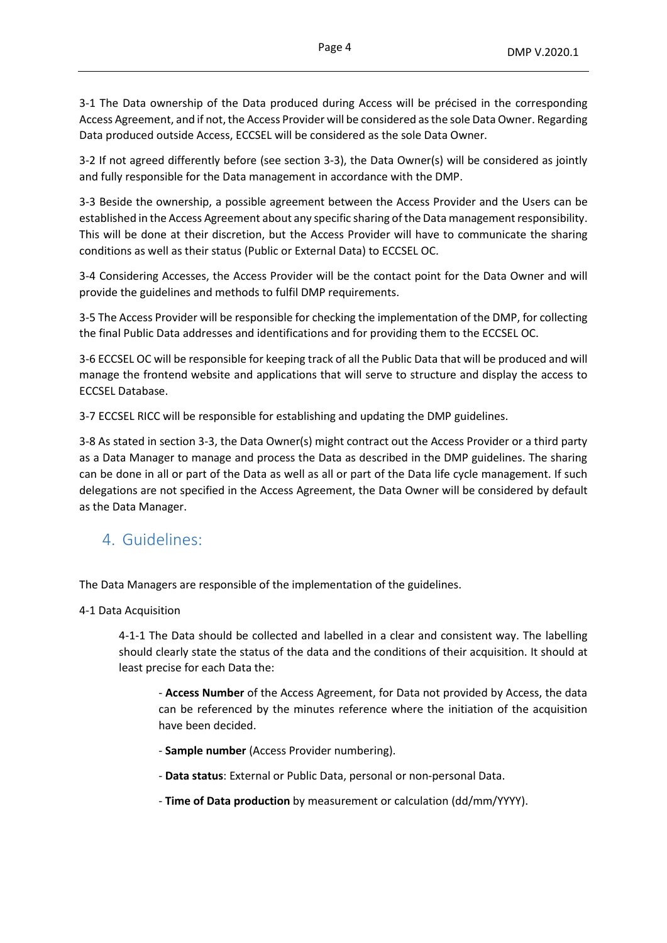3-1 The Data ownership of the Data produced during Access will be précised in the corresponding Access Agreement, and if not, the Access Provider will be considered as the sole Data Owner. Regarding Data produced outside Access, ECCSEL will be considered as the sole Data Owner.

3-2 If not agreed differently before (see section 3-3), the Data Owner(s) will be considered as jointly and fully responsible for the Data management in accordance with the DMP.

3-3 Beside the ownership, a possible agreement between the Access Provider and the Users can be established in the Access Agreement about any specific sharing of the Data management responsibility. This will be done at their discretion, but the Access Provider will have to communicate the sharing conditions as well as their status (Public or External Data) to ECCSEL OC.

3-4 Considering Accesses, the Access Provider will be the contact point for the Data Owner and will provide the guidelines and methods to fulfil DMP requirements.

3-5 The Access Provider will be responsible for checking the implementation of the DMP, for collecting the final Public Data addresses and identifications and for providing them to the ECCSEL OC.

3-6 ECCSEL OC will be responsible for keeping track of all the Public Data that will be produced and will manage the frontend website and applications that will serve to structure and display the access to ECCSEL Database.

3-7 ECCSEL RICC will be responsible for establishing and updating the DMP guidelines.

3-8 As stated in section 3-3, the Data Owner(s) might contract out the Access Provider or a third party as a Data Manager to manage and process the Data as described in the DMP guidelines. The sharing can be done in all or part of the Data as well as all or part of the Data life cycle management. If such delegations are not specified in the Access Agreement, the Data Owner will be considered by default as the Data Manager.

# 4. Guidelines:

The Data Managers are responsible of the implementation of the guidelines.

4-1 Data Acquisition

4-1-1 The Data should be collected and labelled in a clear and consistent way. The labelling should clearly state the status of the data and the conditions of their acquisition. It should at least precise for each Data the:

- **Access Number** of the Access Agreement, for Data not provided by Access, the data can be referenced by the minutes reference where the initiation of the acquisition have been decided.

- **Sample number** (Access Provider numbering).
- **Data status**: External or Public Data, personal or non-personal Data.
- **Time of Data production** by measurement or calculation (dd/mm/YYYY).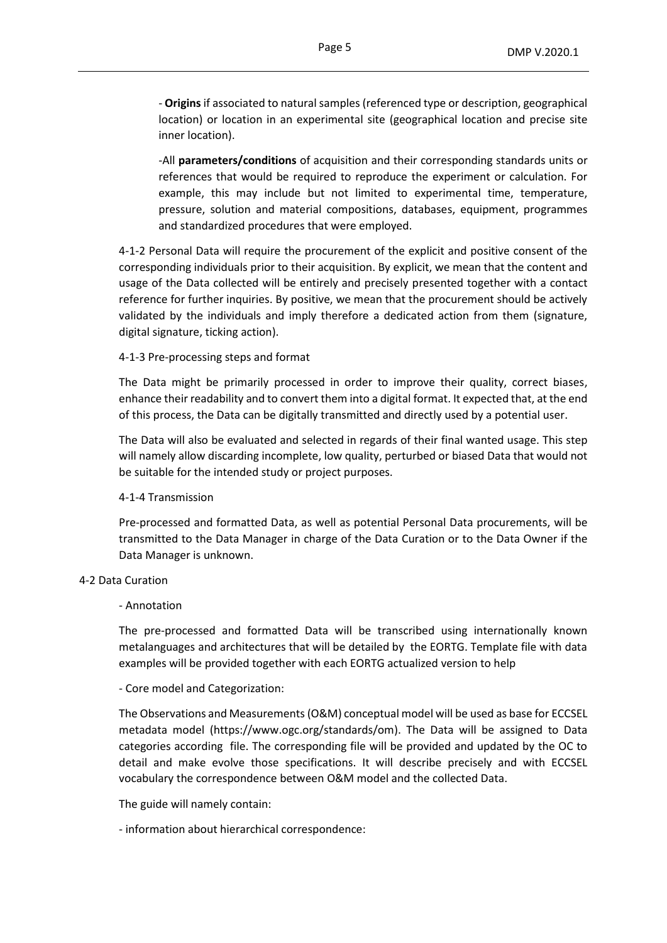- **Origins** if associated to natural samples (referenced type or description, geographical location) or location in an experimental site (geographical location and precise site inner location).

-All **parameters/conditions** of acquisition and their corresponding standards units or references that would be required to reproduce the experiment or calculation. For example, this may include but not limited to experimental time, temperature, pressure, solution and material compositions, databases, equipment, programmes and standardized procedures that were employed.

4-1-2 Personal Data will require the procurement of the explicit and positive consent of the corresponding individuals prior to their acquisition. By explicit, we mean that the content and usage of the Data collected will be entirely and precisely presented together with a contact reference for further inquiries. By positive, we mean that the procurement should be actively validated by the individuals and imply therefore a dedicated action from them (signature, digital signature, ticking action).

#### 4-1-3 Pre-processing steps and format

The Data might be primarily processed in order to improve their quality, correct biases, enhance their readability and to convert them into a digital format. It expected that, at the end of this process, the Data can be digitally transmitted and directly used by a potential user.

The Data will also be evaluated and selected in regards of their final wanted usage. This step will namely allow discarding incomplete, low quality, perturbed or biased Data that would not be suitable for the intended study or project purposes.

#### 4-1-4 Transmission

Pre-processed and formatted Data, as well as potential Personal Data procurements, will be transmitted to the Data Manager in charge of the Data Curation or to the Data Owner if the Data Manager is unknown.

#### 4-2 Data Curation

#### - Annotation

The pre-processed and formatted Data will be transcribed using internationally known metalanguages and architectures that will be detailed by the EORTG. Template file with data examples will be provided together with each EORTG actualized version to help

#### - Core model and Categorization:

The Observations and Measurements (O&M) conceptual model will be used as base for ECCSEL metadata model (https://www.ogc.org/standards/om). The Data will be assigned to Data categories according file. The corresponding file will be provided and updated by the OC to detail and make evolve those specifications. It will describe precisely and with ECCSEL vocabulary the correspondence between O&M model and the collected Data.

The guide will namely contain:

- information about hierarchical correspondence: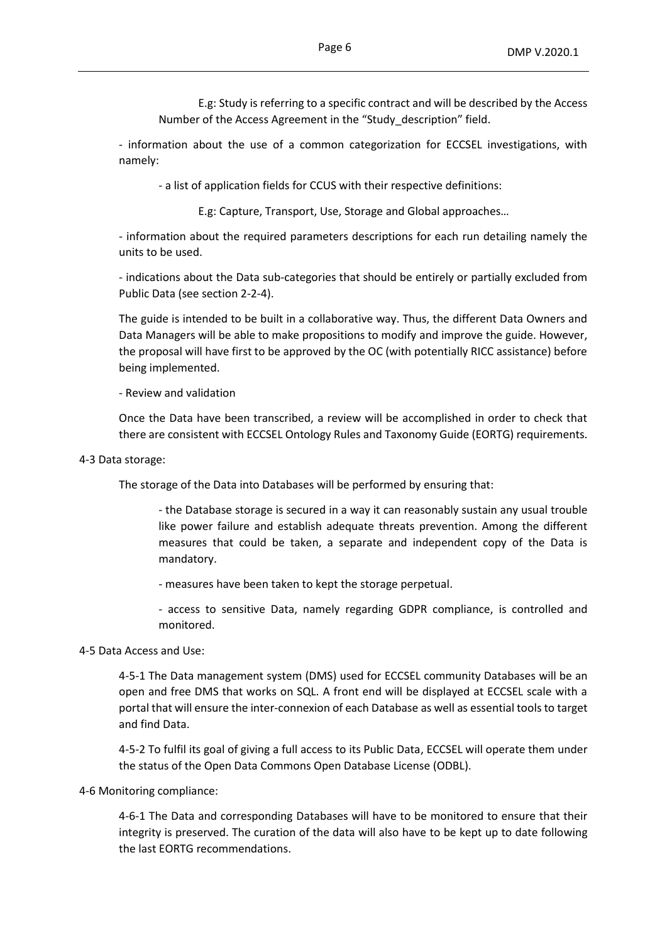E.g: Study is referring to a specific contract and will be described by the Access Number of the Access Agreement in the "Study\_description" field.

- information about the use of a common categorization for ECCSEL investigations, with namely:

- a list of application fields for CCUS with their respective definitions:

E.g: Capture, Transport, Use, Storage and Global approaches…

- information about the required parameters descriptions for each run detailing namely the units to be used.

- indications about the Data sub-categories that should be entirely or partially excluded from Public Data (see section 2-2-4).

The guide is intended to be built in a collaborative way. Thus, the different Data Owners and Data Managers will be able to make propositions to modify and improve the guide. However, the proposal will have first to be approved by the OC (with potentially RICC assistance) before being implemented.

- Review and validation

Once the Data have been transcribed, a review will be accomplished in order to check that there are consistent with ECCSEL Ontology Rules and Taxonomy Guide (EORTG) requirements.

4-3 Data storage:

The storage of the Data into Databases will be performed by ensuring that:

- the Database storage is secured in a way it can reasonably sustain any usual trouble like power failure and establish adequate threats prevention. Among the different measures that could be taken, a separate and independent copy of the Data is mandatory.

- measures have been taken to kept the storage perpetual.

- access to sensitive Data, namely regarding GDPR compliance, is controlled and monitored.

4-5 Data Access and Use:

4-5-1 The Data management system (DMS) used for ECCSEL community Databases will be an open and free DMS that works on SQL. A front end will be displayed at ECCSEL scale with a portal that will ensure the inter-connexion of each Database as well as essential tools to target and find Data.

4-5-2 To fulfil its goal of giving a full access to its Public Data, ECCSEL will operate them under the status of the Open Data Commons Open Database License (ODBL).

4-6 Monitoring compliance:

4-6-1 The Data and corresponding Databases will have to be monitored to ensure that their integrity is preserved. The curation of the data will also have to be kept up to date following the last EORTG recommendations.